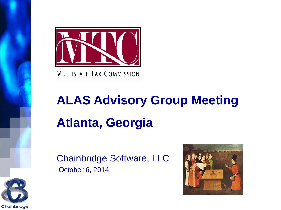

**MULTISTATE TAX COMMISSION** 

# **ALAS Advisory Group Meeting Atlanta, Georgia**

Chainbridge Software, LLC October 6, 2014



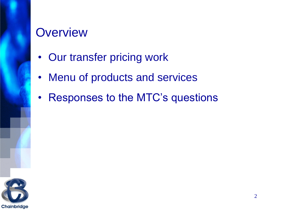#### **Overview**

- Our transfer pricing work
- Menu of products and services
- Responses to the MTC's questions

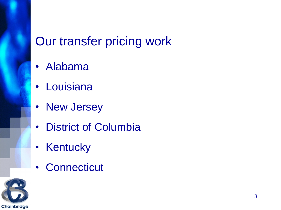# Our transfer pricing work

- Alabama
- Louisiana
- New Jersey
- District of Columbia
- Kentucky
- Connecticut

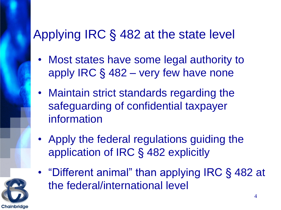# Applying IRC § 482 at the state level

- Most states have some legal authority to apply IRC § 482 – very few have none
- Maintain strict standards regarding the safeguarding of confidential taxpayer information
- Apply the federal regulations guiding the application of IRC § 482 explicitly
- "Different animal" than applying IRC § 482 at the federal/international level

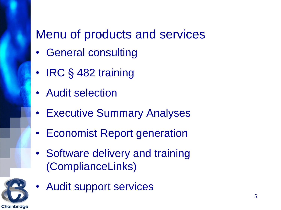# Menu of products and services

- General consulting
- IRC § 482 training
- Audit selection
- Executive Summary Analyses
- Economist Report generation
- Software delivery and training (ComplianceLinks)



• Audit support services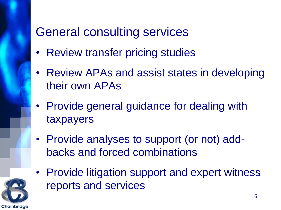# General consulting services

- Review transfer pricing studies
- Review APAs and assist states in developing their own APAs
- Provide general guidance for dealing with taxpayers
- Provide analyses to support (or not) addbacks and forced combinations
- Provide litigation support and expert witness reports and services

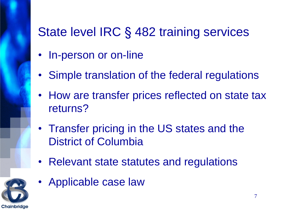# State level IRC § 482 training services

- In-person or on-line
- Simple translation of the federal regulations
- How are transfer prices reflected on state tax returns?
- Transfer pricing in the US states and the District of Columbia
- Relevant state statutes and regulations



• Applicable case law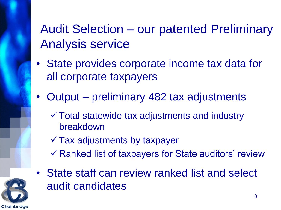# Audit Selection – our patented Preliminary Analysis service

- State provides corporate income tax data for all corporate taxpayers
- Output preliminary 482 tax adjustments
	- $\checkmark$  Total statewide tax adjustments and industry breakdown
	- $\checkmark$  Tax adjustments by taxpayer
	- $\checkmark$  Ranked list of taxpayers for State auditors' review



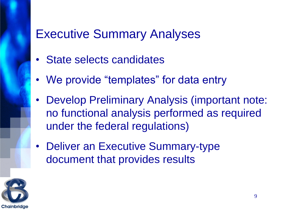#### Executive Summary Analyses

- State selects candidates
- We provide "templates" for data entry
- Develop Preliminary Analysis (important note: no functional analysis performed as required under the federal regulations)
- Deliver an Executive Summary-type document that provides results

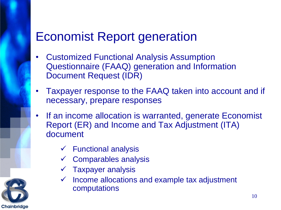#### Economist Report generation

- Customized Functional Analysis Assumption Questionnaire (FAAQ) generation and Information Document Request (IDR)
- Taxpayer response to the FAAQ taken into account and if necessary, prepare responses
- If an income allocation is warranted, generate Economist Report (ER) and Income and Tax Adjustment (ITA) document
	- $\checkmark$  Functional analysis
	- $\checkmark$  Comparables analysis
	- $\checkmark$  Taxpayer analysis
	- $\checkmark$  Income allocations and example tax adjustment computations

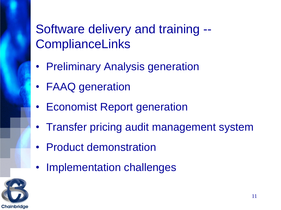# Software delivery and training -- **ComplianceLinks**

- Preliminary Analysis generation
- FAAQ generation
- Economist Report generation
- Transfer pricing audit management system
- Product demonstration
- Implementation challenges

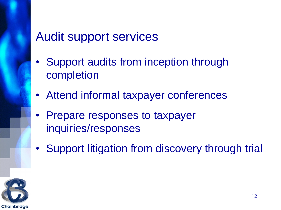#### Audit support services

- Support audits from inception through completion
- Attend informal taxpayer conferences
- Prepare responses to taxpayer inquiries/responses
- Support litigation from discovery through trial

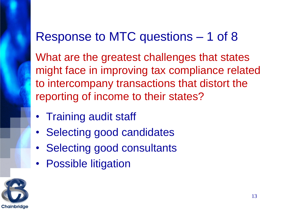#### Response to MTC questions – 1 of 8

What are the greatest challenges that states might face in improving tax compliance related to intercompany transactions that distort the reporting of income to their states?

- Training audit staff
- Selecting good candidates
- Selecting good consultants
- Possible litigation

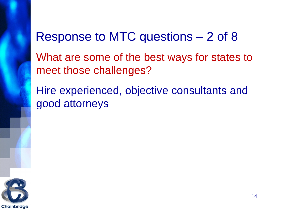#### Response to MTC questions – 2 of 8

What are some of the best ways for states to meet those challenges?

Hire experienced, objective consultants and good attorneys

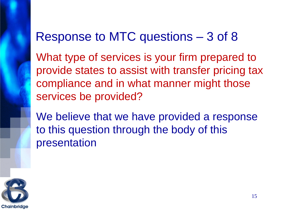#### Response to MTC questions – 3 of 8

What type of services is your firm prepared to provide states to assist with transfer pricing tax compliance and in what manner might those services be provided?

We believe that we have provided a response to this question through the body of this presentation

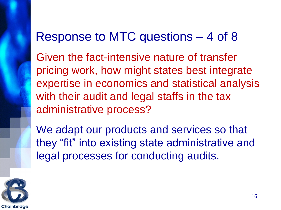#### Response to MTC questions – 4 of 8

Given the fact-intensive nature of transfer pricing work, how might states best integrate expertise in economics and statistical analysis with their audit and legal staffs in the tax administrative process?

We adapt our products and services so that they "fit" into existing state administrative and legal processes for conducting audits.

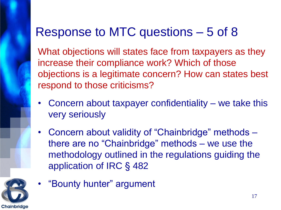# Response to MTC questions – 5 of 8

What objections will states face from taxpayers as they increase their compliance work? Which of those objections is a legitimate concern? How can states best respond to those criticisms?

- Concern about taxpayer confidentiality we take this very seriously
- Concern about validity of "Chainbridge" methods there are no "Chainbridge" methods – we use the methodology outlined in the regulations guiding the application of IRC § 482



• "Bounty hunter" argument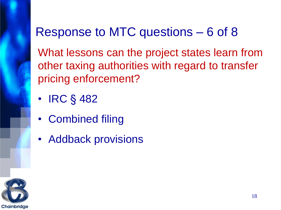# Response to MTC questions – 6 of 8

What lessons can the project states learn from other taxing authorities with regard to transfer pricing enforcement?

- IRC § 482
- Combined filing
- Addback provisions

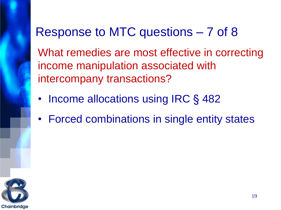#### Response to MTC questions – 7 of 8

What remedies are most effective in correcting income manipulation associated with intercompany transactions?

- Income allocations using IRC § 482
- Forced combinations in single entity states

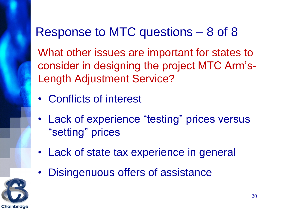# Response to MTC questions – 8 of 8

What other issues are important for states to consider in designing the project MTC Arm's-Length Adjustment Service?

- Conflicts of interest
- Lack of experience "testing" prices versus "setting" prices
- Lack of state tax experience in general
- Disingenuous offers of assistance